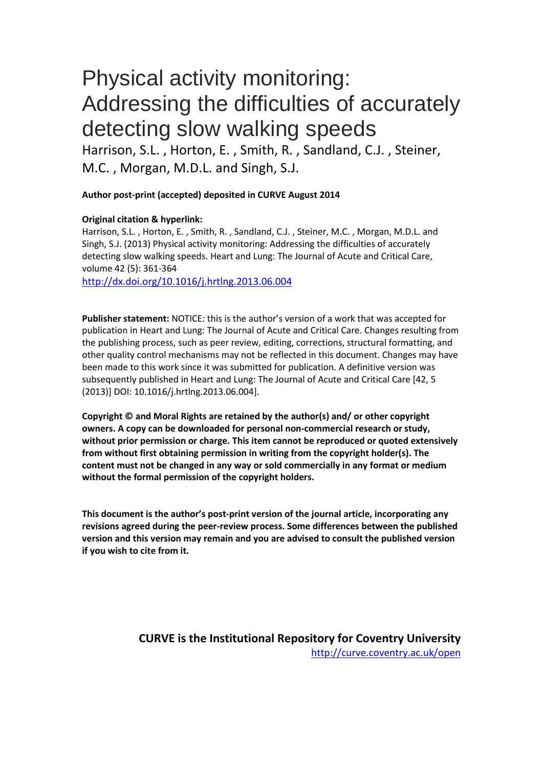# Physical activity monitoring: Addressing the difficulties of accurately detecting slow walking speeds

Harrison, S.L. , Horton, E. , Smith, R. , Sandland, C.J. , Steiner, M.C. , Morgan, M.D.L. and Singh, S.J.

#### **Author post-print (accepted) deposited in CURVE August 2014**

#### **Original citation & hyperlink:**

Harrison, S.L. , Horton, E. , Smith, R. , Sandland, C.J. , Steiner, M.C. , Morgan, M.D.L. and Singh, S.J. (2013) Physical activity monitoring: Addressing the difficulties of accurately detecting slow walking speeds. Heart and Lung: The Journal of Acute and Critical Care, volume 42 (5): 361-364

<http://dx.doi.org/10.1016/j.hrtlng.2013.06.004>

**Publisher statement:** NOTICE: this is the author's version of a work that was accepted for publication in Heart and Lung: The Journal of Acute and Critical Care. Changes resulting from the publishing process, such as peer review, editing, corrections, structural formatting, and other quality control mechanisms may not be reflected in this document. Changes may have been made to this work since it was submitted for publication. A definitive version was subsequently published in Heart and Lung: The Journal of Acute and Critical Care [42, 5 (2013)] DOI: 10.1016/j.hrtlng.2013.06.004].

**Copyright © and Moral Rights are retained by the author(s) and/ or other copyright owners. A copy can be downloaded for personal non-commercial research or study, without prior permission or charge. This item cannot be reproduced or quoted extensively from without first obtaining permission in writing from the copyright holder(s). The content must not be changed in any way or sold commercially in any format or medium without the formal permission of the copyright holders.** 

**This document is the author's post-print version of the journal article, incorporating any revisions agreed during the peer-review process. Some differences between the published version and this version may remain and you are advised to consult the published version if you wish to cite from it.** 

> **CURVE is the Institutional Repository for Coventry University** <http://curve.coventry.ac.uk/open>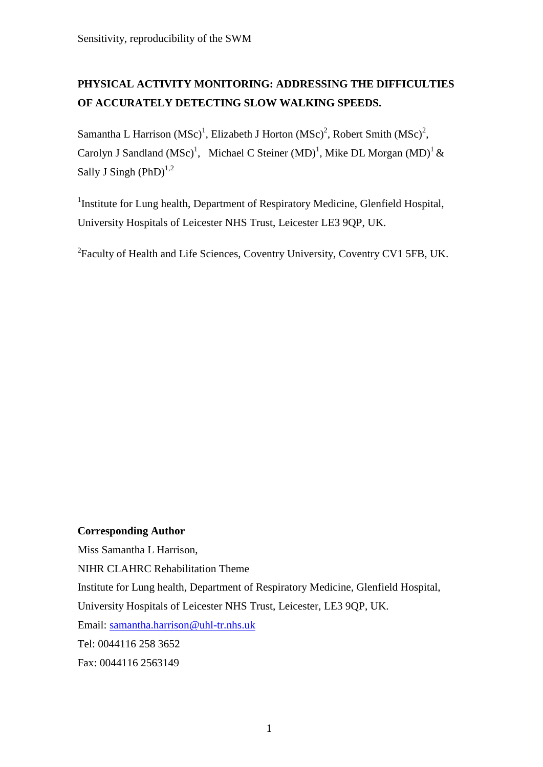# **PHYSICAL ACTIVITY MONITORING: ADDRESSING THE DIFFICULTIES OF ACCURATELY DETECTING SLOW WALKING SPEEDS.**

Samantha L Harrison (MSc)<sup>1</sup>, Elizabeth J Horton (MSc)<sup>2</sup>, Robert Smith (MSc)<sup>2</sup>, Carolyn J Sandland (MSc)<sup>1</sup>, Michael C Steiner (MD)<sup>1</sup>, Mike DL Morgan (MD)<sup>1</sup> & Sally J Singh  $(PhD)^{1,2}$ 

<sup>1</sup>Institute for Lung health, Department of Respiratory Medicine, Glenfield Hospital, University Hospitals of Leicester NHS Trust, Leicester LE3 9QP, UK.

<sup>2</sup> Faculty of Health and Life Sciences, Coventry University, Coventry CV1 5FB, UK.

# **Corresponding Author**

Miss Samantha L Harrison,

NIHR CLAHRC Rehabilitation Theme

Institute for Lung health, Department of Respiratory Medicine, Glenfield Hospital,

University Hospitals of Leicester NHS Trust, Leicester, LE3 9QP, UK.

Email: [samantha.harrison@uhl-tr.nhs.uk](mailto:samantha.harrison@uhl-tr.nhs.uk) 

Tel: 0044116 258 3652

Fax: 0044116 2563149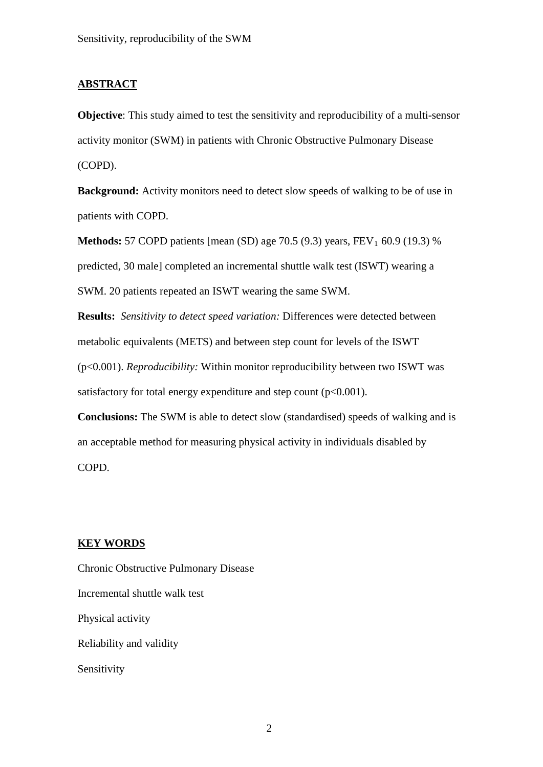#### **ABSTRACT**

**Objective**: This study aimed to test the sensitivity and reproducibility of a multi-sensor activity monitor (SWM) in patients with Chronic Obstructive Pulmonary Disease (COPD).

**Background:** Activity monitors need to detect slow speeds of walking to be of use in patients with COPD.

**Methods:** 57 COPD patients [mean (SD) age 70.5 (9.3) years,  $FEV_1$  60.9 (19.3) % predicted, 30 male] completed an incremental shuttle walk test (ISWT) wearing a SWM. 20 patients repeated an ISWT wearing the same SWM.

**Results:** *Sensitivity to detect speed variation:* Differences were detected between metabolic equivalents (METS) and between step count for levels of the ISWT (p<0.001). *Reproducibility:* Within monitor reproducibility between two ISWT was satisfactory for total energy expenditure and step count  $(p<0.001)$ .

**Conclusions:** The SWM is able to detect slow (standardised) speeds of walking and is an acceptable method for measuring physical activity in individuals disabled by COPD.

# **KEY WORDS**

Chronic Obstructive Pulmonary Disease Incremental shuttle walk test Physical activity Reliability and validity Sensitivity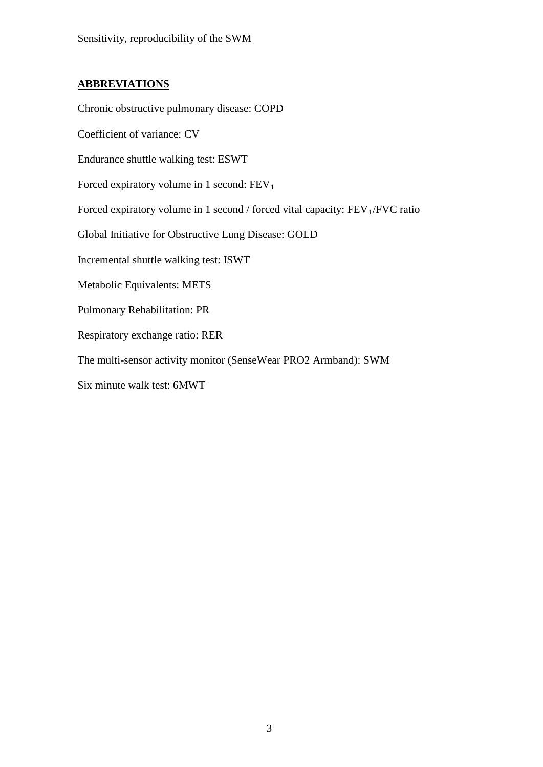# **ABBREVIATIONS**

Chronic obstructive pulmonary disease: COPD

Coefficient of variance: CV

Endurance shuttle walking test: ESWT

Forced expiratory volume in 1 second:  $FEV<sub>1</sub>$ 

Forced expiratory volume in 1 second / forced vital capacity:  $FEV<sub>1</sub>/FVC$  ratio

Global Initiative for Obstructive Lung Disease: GOLD

Incremental shuttle walking test: ISWT

Metabolic Equivalents: METS

Pulmonary Rehabilitation: PR

Respiratory exchange ratio: RER

The multi-sensor activity monitor (SenseWear PRO2 Armband): SWM

Six minute walk test: 6MWT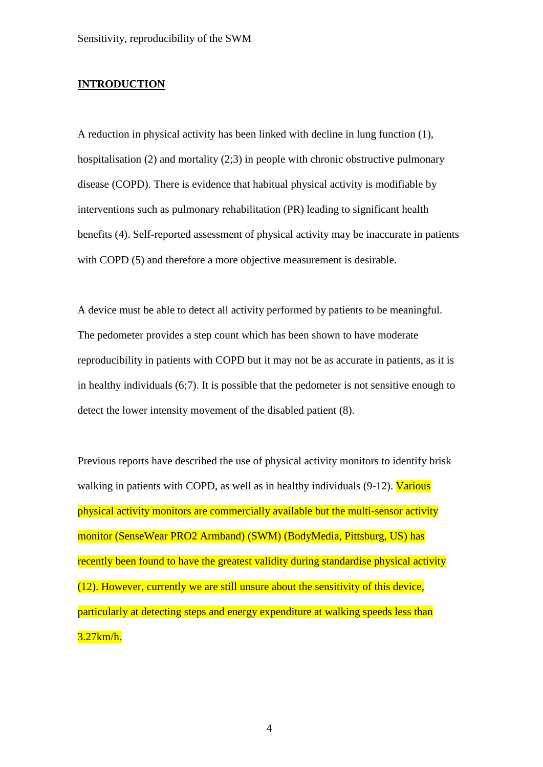#### **INTRODUCTION**

A reduction in physical activity has been linked with decline in lung function (1), hospitalisation (2) and mortality (2;3) in people with chronic obstructive pulmonary disease (COPD). There is evidence that habitual physical activity is modifiable by interventions such as pulmonary rehabilitation (PR) leading to significant health benefits (4). Self-reported assessment of physical activity may be inaccurate in patients with COPD (5) and therefore a more objective measurement is desirable.

A device must be able to detect all activity performed by patients to be meaningful. The pedometer provides a step count which has been shown to have moderate reproducibility in patients with COPD but it may not be as accurate in patients, as it is in healthy individuals (6;7). It is possible that the pedometer is not sensitive enough to detect the lower intensity movement of the disabled patient (8).

Previous reports have described the use of physical activity monitors to identify brisk walking in patients with COPD, as well as in healthy individuals  $(9-12)$ . Various physical activity monitors are commercially available but the multi-sensor activity monitor (SenseWear PRO2 Armband) (SWM) (BodyMedia, Pittsburg, US) has recently been found to have the greatest validity during standardise physical activity (12). However, currently we are still unsure about the sensitivity of this device, particularly at detecting steps and energy expenditure at walking speeds less than 3.27km/h.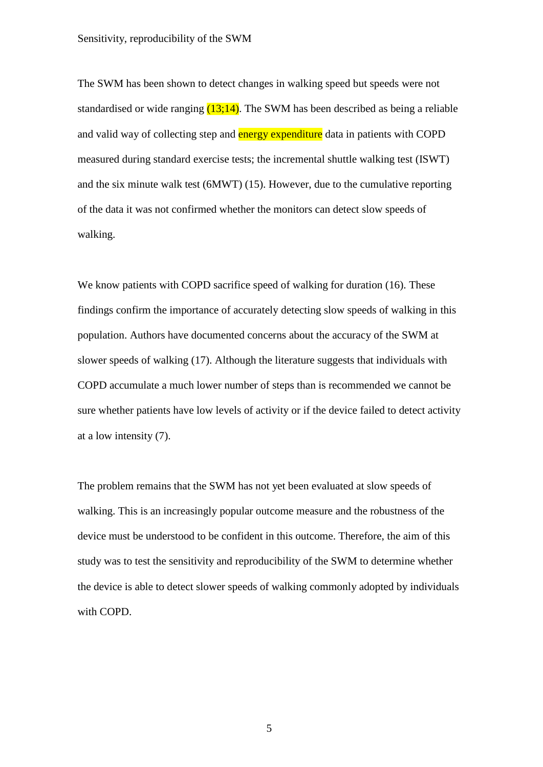The SWM has been shown to detect changes in walking speed but speeds were not standardised or wide ranging  $(13;14)$ . The SWM has been described as being a reliable and valid way of collecting step and energy expenditure data in patients with COPD measured during standard exercise tests; the incremental shuttle walking test (ISWT) and the six minute walk test (6MWT) (15). However, due to the cumulative reporting of the data it was not confirmed whether the monitors can detect slow speeds of walking.

We know patients with COPD sacrifice speed of walking for duration (16). These findings confirm the importance of accurately detecting slow speeds of walking in this population. Authors have documented concerns about the accuracy of the SWM at slower speeds of walking (17). Although the literature suggests that individuals with COPD accumulate a much lower number of steps than is recommended we cannot be sure whether patients have low levels of activity or if the device failed to detect activity at a low intensity (7).

The problem remains that the SWM has not yet been evaluated at slow speeds of walking. This is an increasingly popular outcome measure and the robustness of the device must be understood to be confident in this outcome. Therefore, the aim of this study was to test the sensitivity and reproducibility of the SWM to determine whether the device is able to detect slower speeds of walking commonly adopted by individuals with COPD.

5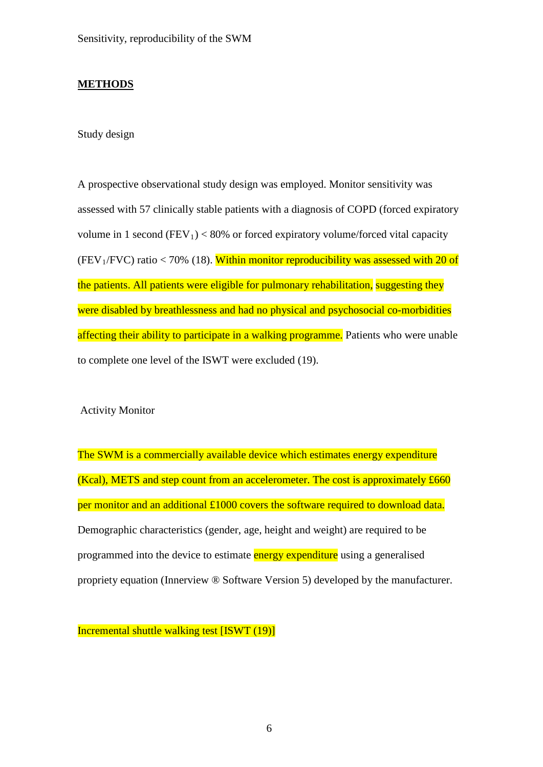# **METHODS**

Study design

A prospective observational study design was employed. Monitor sensitivity was assessed with 57 clinically stable patients with a diagnosis of COPD (forced expiratory volume in 1 second (FEV<sub>1</sub>) < 80% or forced expiratory volume/forced vital capacity (FEV<sub>1</sub>/FVC) ratio < 70% (18). Within monitor reproducibility was assessed with 20 of the patients. All patients were eligible for pulmonary rehabilitation, suggesting they were disabled by breathlessness and had no physical and psychosocial co-morbidities affecting their ability to participate in a walking programme. Patients who were unable to complete one level of the ISWT were excluded (19).

Activity Monitor

The SWM is a commercially available device which estimates energy expenditure (Kcal), METS and step count from an accelerometer. The cost is approximately £660 per monitor and an additional £1000 covers the software required to download data. Demographic characteristics (gender, age, height and weight) are required to be programmed into the device to estimate energy expenditure using a generalised propriety equation (Innerview ® Software Version 5) developed by the manufacturer.

Incremental shuttle walking test [ISWT (19)]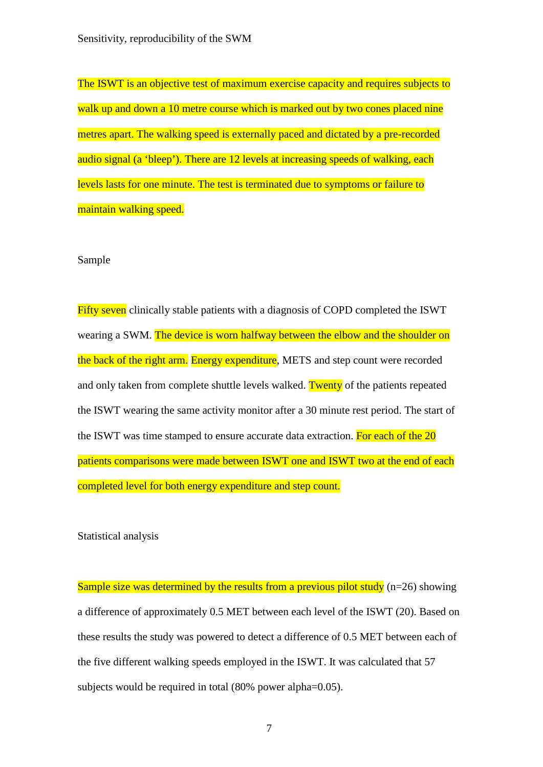The ISWT is an objective test of maximum exercise capacity and requires subjects to walk up and down a 10 metre course which is marked out by two cones placed nine metres apart. The walking speed is externally paced and dictated by a pre-recorded audio signal (a 'bleep'). There are 12 levels at increasing speeds of walking, each levels lasts for one minute. The test is terminated due to symptoms or failure to maintain walking speed.

#### Sample

Fifty seven clinically stable patients with a diagnosis of COPD completed the ISWT wearing a SWM. The device is worn halfway between the elbow and the shoulder on the back of the right arm. Energy expenditure, METS and step count were recorded and only taken from complete shuttle levels walked. Twenty of the patients repeated the ISWT wearing the same activity monitor after a 30 minute rest period. The start of the ISWT was time stamped to ensure accurate data extraction. For each of the 20 patients comparisons were made between ISWT one and ISWT two at the end of each completed level for both energy expenditure and step count.

Statistical analysis

Sample size was determined by the results from a previous pilot study ( $n=26$ ) showing a difference of approximately 0.5 MET between each level of the ISWT (20). Based on these results the study was powered to detect a difference of 0.5 MET between each of the five different walking speeds employed in the ISWT. It was calculated that 57 subjects would be required in total (80% power alpha=0.05).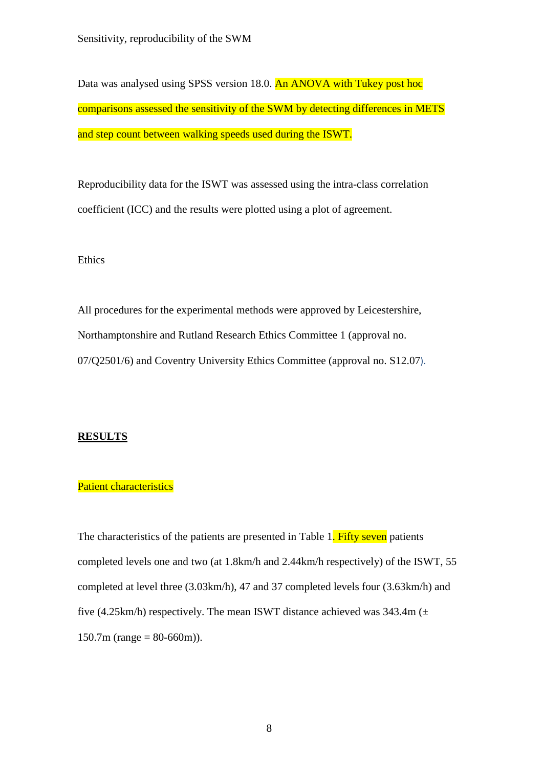Data was analysed using SPSS version 18.0. An ANOVA with Tukey post hoc comparisons assessed the sensitivity of the SWM by detecting differences in METS and step count between walking speeds used during the ISWT.

Reproducibility data for the ISWT was assessed using the intra-class correlation coefficient (ICC) and the results were plotted using a plot of agreement.

#### Ethics

All procedures for the experimental methods were approved by Leicestershire, Northamptonshire and Rutland Research Ethics Committee 1 (approval no. 07/Q2501/6) and Coventry University Ethics Committee (approval no. S12.07).

### **RESULTS**

#### Patient characteristics

The characteristics of the patients are presented in Table 1. Fifty seven patients completed levels one and two (at 1.8km/h and 2.44km/h respectively) of the ISWT, 55 completed at level three (3.03km/h), 47 and 37 completed levels four (3.63km/h) and five (4.25km/h) respectively. The mean ISWT distance achieved was  $343.4m (\pm 1)$  $150.7m$  (range = 80-660m)).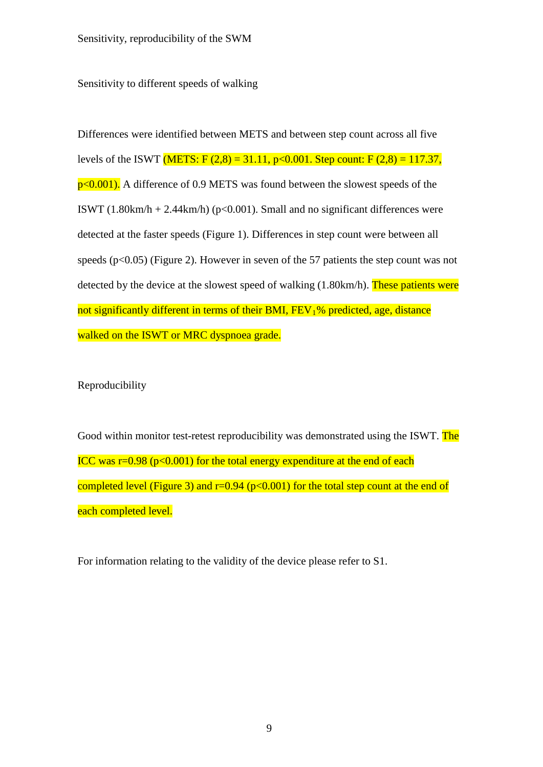Sensitivity to different speeds of walking

Differences were identified between METS and between step count across all five levels of the ISWT (METS: F  $(2,8) = 31.11$ , p<0.001. Step count: F  $(2,8) = 117.37$ ,  $p<0.001$ ). A difference of 0.9 METS was found between the slowest speeds of the ISWT (1.80km/h + 2.44km/h) ( $p<0.001$ ). Small and no significant differences were detected at the faster speeds (Figure 1). Differences in step count were between all speeds ( $p<0.05$ ) (Figure 2). However in seven of the 57 patients the step count was not detected by the device at the slowest speed of walking (1.80km/h). These patients were not significantly different in terms of their BMI,  $FEV<sub>1</sub>%$  predicted, age, distance walked on the ISWT or MRC dyspnoea grade.

Reproducibility

Good within monitor test-retest reproducibility was demonstrated using the ISWT. The ICC was  $r=0.98$  ( $p<0.001$ ) for the total energy expenditure at the end of each completed level (Figure 3) and  $r=0.94$  ( $p<0.001$ ) for the total step count at the end of each completed level.

For information relating to the validity of the device please refer to S1.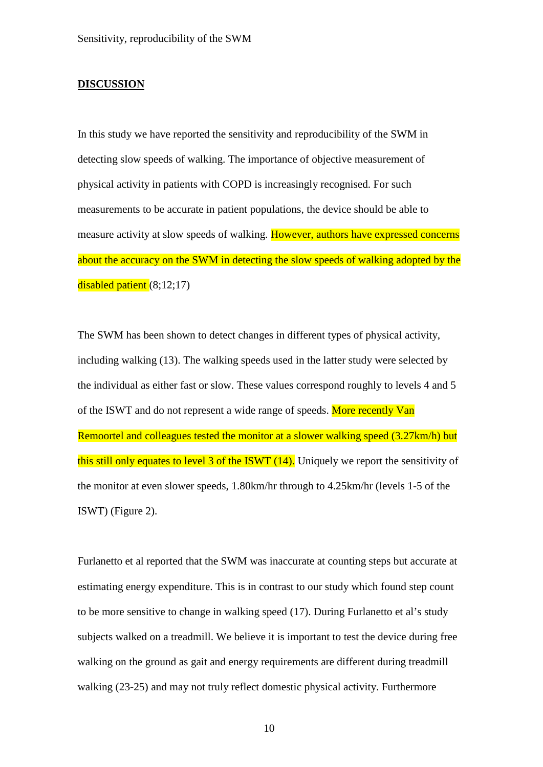#### **DISCUSSION**

In this study we have reported the sensitivity and reproducibility of the SWM in detecting slow speeds of walking. The importance of objective measurement of physical activity in patients with COPD is increasingly recognised. For such measurements to be accurate in patient populations, the device should be able to measure activity at slow speeds of walking. However, authors have expressed concerns about the accuracy on the SWM in detecting the slow speeds of walking adopted by the disabled patient (8;12;17)

The SWM has been shown to detect changes in different types of physical activity, including walking (13). The walking speeds used in the latter study were selected by the individual as either fast or slow. These values correspond roughly to levels 4 and 5 of the ISWT and do not represent a wide range of speeds. More recently Van Remoortel and colleagues tested the monitor at a slower walking speed (3.27km/h) but this still only equates to level 3 of the ISWT (14). Uniquely we report the sensitivity of the monitor at even slower speeds, 1.80km/hr through to 4.25km/hr (levels 1-5 of the ISWT) (Figure 2).

Furlanetto et al reported that the SWM was inaccurate at counting steps but accurate at estimating energy expenditure. This is in contrast to our study which found step count to be more sensitive to change in walking speed (17). During Furlanetto et al's study subjects walked on a treadmill. We believe it is important to test the device during free walking on the ground as gait and energy requirements are different during treadmill walking (23-25) and may not truly reflect domestic physical activity. Furthermore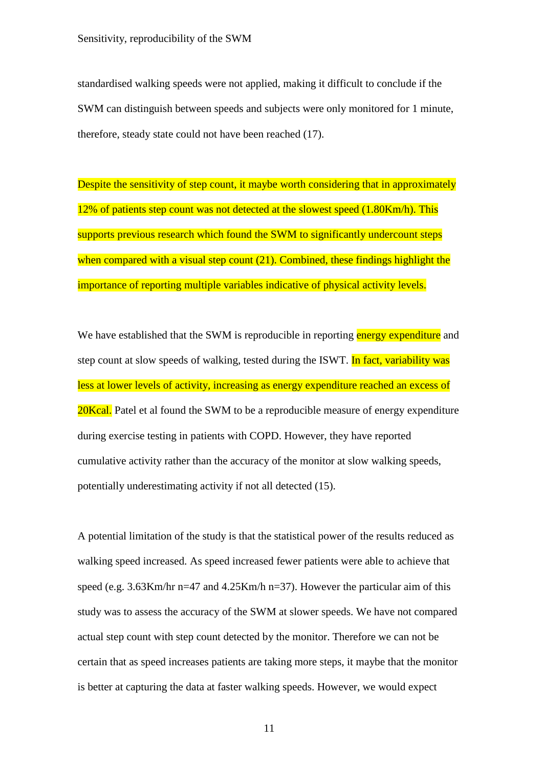standardised walking speeds were not applied, making it difficult to conclude if the SWM can distinguish between speeds and subjects were only monitored for 1 minute, therefore, steady state could not have been reached (17).

Despite the sensitivity of step count, it maybe worth considering that in approximately 12% of patients step count was not detected at the slowest speed (1.80Km/h). This supports previous research which found the SWM to significantly undercount steps when compared with a visual step count (21). Combined, these findings highlight the importance of reporting multiple variables indicative of physical activity levels.

We have established that the SWM is reproducible in reporting energy expenditure and step count at slow speeds of walking, tested during the ISWT. In fact, variability was less at lower levels of activity, increasing as energy expenditure reached an excess of 20Kcal. Patel et al found the SWM to be a reproducible measure of energy expenditure during exercise testing in patients with COPD. However, they have reported cumulative activity rather than the accuracy of the monitor at slow walking speeds, potentially underestimating activity if not all detected (15).

A potential limitation of the study is that the statistical power of the results reduced as walking speed increased. As speed increased fewer patients were able to achieve that speed (e.g. 3.63Km/hr n=47 and 4.25Km/h n=37). However the particular aim of this study was to assess the accuracy of the SWM at slower speeds. We have not compared actual step count with step count detected by the monitor. Therefore we can not be certain that as speed increases patients are taking more steps, it maybe that the monitor is better at capturing the data at faster walking speeds. However, we would expect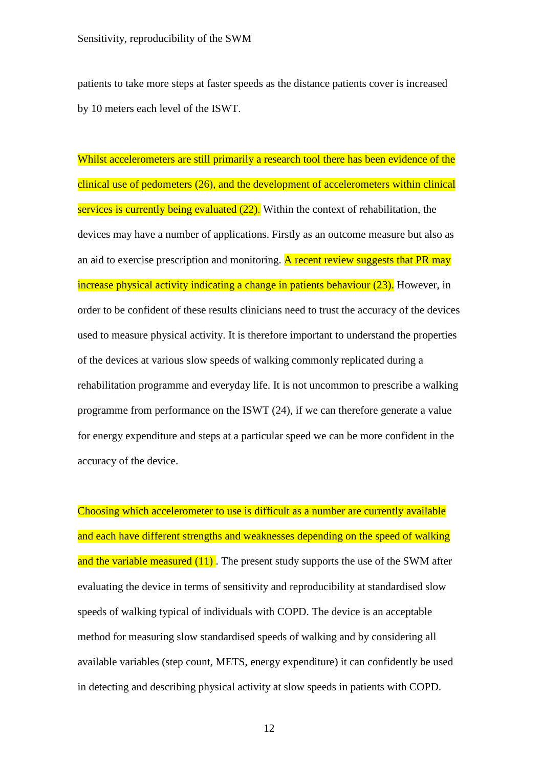patients to take more steps at faster speeds as the distance patients cover is increased by 10 meters each level of the ISWT.

Whilst accelerometers are still primarily a research tool there has been evidence of the clinical use of pedometers (26), and the development of accelerometers within clinical services is currently being evaluated (22). Within the context of rehabilitation, the devices may have a number of applications. Firstly as an outcome measure but also as an aid to exercise prescription and monitoring. A recent review suggests that PR may increase physical activity indicating a change in patients behaviour (23). However, in order to be confident of these results clinicians need to trust the accuracy of the devices used to measure physical activity. It is therefore important to understand the properties of the devices at various slow speeds of walking commonly replicated during a rehabilitation programme and everyday life. It is not uncommon to prescribe a walking programme from performance on the ISWT (24), if we can therefore generate a value for energy expenditure and steps at a particular speed we can be more confident in the accuracy of the device.

Choosing which accelerometer to use is difficult as a number are currently available and each have different strengths and weaknesses depending on the speed of walking and the variable measured (11). The present study supports the use of the SWM after evaluating the device in terms of sensitivity and reproducibility at standardised slow speeds of walking typical of individuals with COPD. The device is an acceptable method for measuring slow standardised speeds of walking and by considering all available variables (step count, METS, energy expenditure) it can confidently be used in detecting and describing physical activity at slow speeds in patients with COPD.

12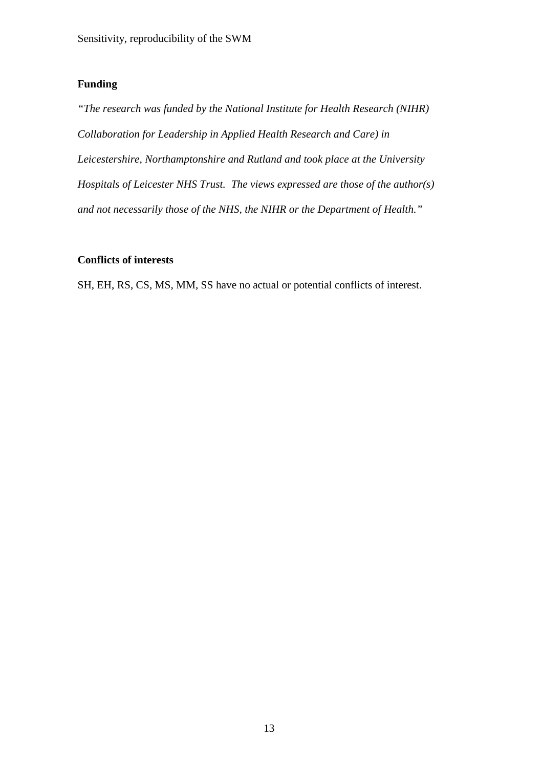# **Funding**

*"The research was funded by the National Institute for Health Research (NIHR) Collaboration for Leadership in Applied Health Research and Care) in Leicestershire, Northamptonshire and Rutland and took place at the University Hospitals of Leicester NHS Trust. The views expressed are those of the author(s) and not necessarily those of the NHS, the NIHR or the Department of Health."*

# **Conflicts of interests**

SH, EH, RS, CS, MS, MM, SS have no actual or potential conflicts of interest.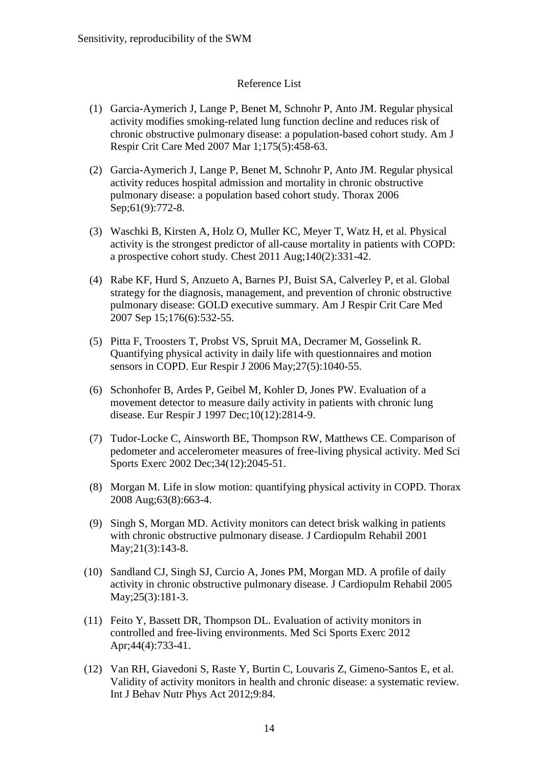# Reference List

- (1) Garcia-Aymerich J, Lange P, Benet M, Schnohr P, Anto JM. Regular physical activity modifies smoking-related lung function decline and reduces risk of chronic obstructive pulmonary disease: a population-based cohort study. Am J Respir Crit Care Med 2007 Mar 1;175(5):458-63.
- (2) Garcia-Aymerich J, Lange P, Benet M, Schnohr P, Anto JM. Regular physical activity reduces hospital admission and mortality in chronic obstructive pulmonary disease: a population based cohort study. Thorax 2006 Sep;61(9):772-8.
- (3) Waschki B, Kirsten A, Holz O, Muller KC, Meyer T, Watz H, et al. Physical activity is the strongest predictor of all-cause mortality in patients with COPD: a prospective cohort study. Chest 2011 Aug;140(2):331-42.
- (4) Rabe KF, Hurd S, Anzueto A, Barnes PJ, Buist SA, Calverley P, et al. Global strategy for the diagnosis, management, and prevention of chronic obstructive pulmonary disease: GOLD executive summary. Am J Respir Crit Care Med 2007 Sep 15;176(6):532-55.
- (5) Pitta F, Troosters T, Probst VS, Spruit MA, Decramer M, Gosselink R. Quantifying physical activity in daily life with questionnaires and motion sensors in COPD. Eur Respir J 2006 May;27(5):1040-55.
- (6) Schonhofer B, Ardes P, Geibel M, Kohler D, Jones PW. Evaluation of a movement detector to measure daily activity in patients with chronic lung disease. Eur Respir J 1997 Dec;10(12):2814-9.
- (7) Tudor-Locke C, Ainsworth BE, Thompson RW, Matthews CE. Comparison of pedometer and accelerometer measures of free-living physical activity. Med Sci Sports Exerc 2002 Dec;34(12):2045-51.
- (8) Morgan M. Life in slow motion: quantifying physical activity in COPD. Thorax 2008 Aug;63(8):663-4.
- (9) Singh S, Morgan MD. Activity monitors can detect brisk walking in patients with chronic obstructive pulmonary disease. J Cardiopulm Rehabil 2001 May;21(3):143-8.
- (10) Sandland CJ, Singh SJ, Curcio A, Jones PM, Morgan MD. A profile of daily activity in chronic obstructive pulmonary disease. J Cardiopulm Rehabil 2005 May;25(3):181-3.
- (11) Feito Y, Bassett DR, Thompson DL. Evaluation of activity monitors in controlled and free-living environments. Med Sci Sports Exerc 2012 Apr;44(4):733-41.
- (12) Van RH, Giavedoni S, Raste Y, Burtin C, Louvaris Z, Gimeno-Santos E, et al. Validity of activity monitors in health and chronic disease: a systematic review. Int J Behav Nutr Phys Act 2012;9:84.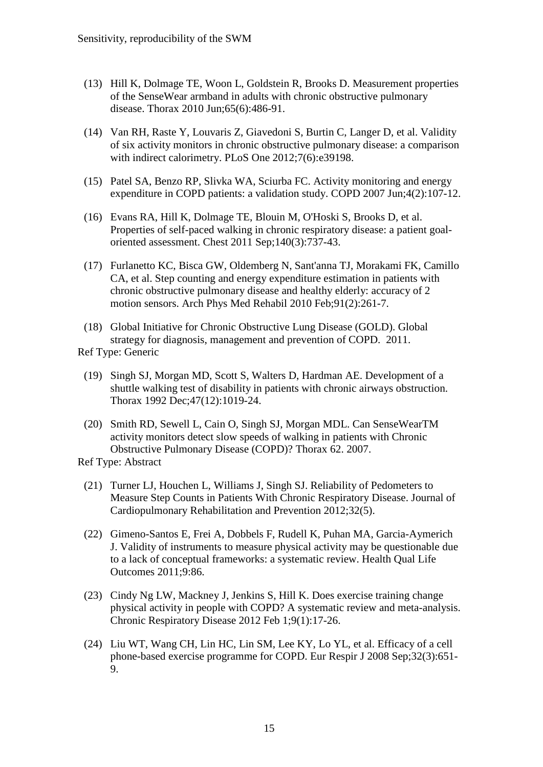- (13) Hill K, Dolmage TE, Woon L, Goldstein R, Brooks D. Measurement properties of the SenseWear armband in adults with chronic obstructive pulmonary disease. Thorax 2010 Jun;65(6):486-91.
- (14) Van RH, Raste Y, Louvaris Z, Giavedoni S, Burtin C, Langer D, et al. Validity of six activity monitors in chronic obstructive pulmonary disease: a comparison with indirect calorimetry. PLoS One 2012;7(6):e39198.
- (15) Patel SA, Benzo RP, Slivka WA, Sciurba FC. Activity monitoring and energy expenditure in COPD patients: a validation study. COPD 2007 Jun;4(2):107-12.
- (16) Evans RA, Hill K, Dolmage TE, Blouin M, O'Hoski S, Brooks D, et al. Properties of self-paced walking in chronic respiratory disease: a patient goaloriented assessment. Chest 2011 Sep;140(3):737-43.
- (17) Furlanetto KC, Bisca GW, Oldemberg N, Sant'anna TJ, Morakami FK, Camillo CA, et al. Step counting and energy expenditure estimation in patients with chronic obstructive pulmonary disease and healthy elderly: accuracy of 2 motion sensors. Arch Phys Med Rehabil 2010 Feb;91(2):261-7.
- (18) Global Initiative for Chronic Obstructive Lung Disease (GOLD). Global strategy for diagnosis, management and prevention of COPD. 2011.

Ref Type: Generic

- (19) Singh SJ, Morgan MD, Scott S, Walters D, Hardman AE. Development of a shuttle walking test of disability in patients with chronic airways obstruction. Thorax 1992 Dec;47(12):1019-24.
- (20) Smith RD, Sewell L, Cain O, Singh SJ, Morgan MDL. Can SenseWearTM activity monitors detect slow speeds of walking in patients with Chronic Obstructive Pulmonary Disease (COPD)? Thorax 62. 2007.

Ref Type: Abstract

- (21) Turner LJ, Houchen L, Williams J, Singh SJ. Reliability of Pedometers to Measure Step Counts in Patients With Chronic Respiratory Disease. Journal of Cardiopulmonary Rehabilitation and Prevention 2012;32(5).
- (22) Gimeno-Santos E, Frei A, Dobbels F, Rudell K, Puhan MA, Garcia-Aymerich J. Validity of instruments to measure physical activity may be questionable due to a lack of conceptual frameworks: a systematic review. Health Qual Life Outcomes 2011;9:86.
- (23) Cindy Ng LW, Mackney J, Jenkins S, Hill K. Does exercise training change physical activity in people with COPD? A systematic review and meta-analysis. Chronic Respiratory Disease 2012 Feb 1;9(1):17-26.
- (24) Liu WT, Wang CH, Lin HC, Lin SM, Lee KY, Lo YL, et al. Efficacy of a cell phone-based exercise programme for COPD. Eur Respir J 2008 Sep;32(3):651- 9.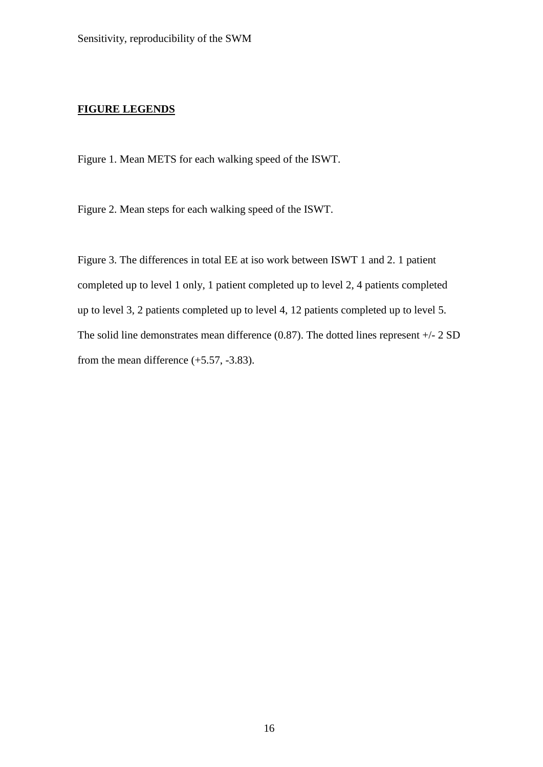# **FIGURE LEGENDS**

Figure 1. Mean METS for each walking speed of the ISWT.

Figure 2. Mean steps for each walking speed of the ISWT.

Figure 3. The differences in total EE at iso work between ISWT 1 and 2. 1 patient completed up to level 1 only, 1 patient completed up to level 2, 4 patients completed up to level 3, 2 patients completed up to level 4, 12 patients completed up to level 5. The solid line demonstrates mean difference (0.87). The dotted lines represent +/- 2 SD from the mean difference (+5.57, -3.83).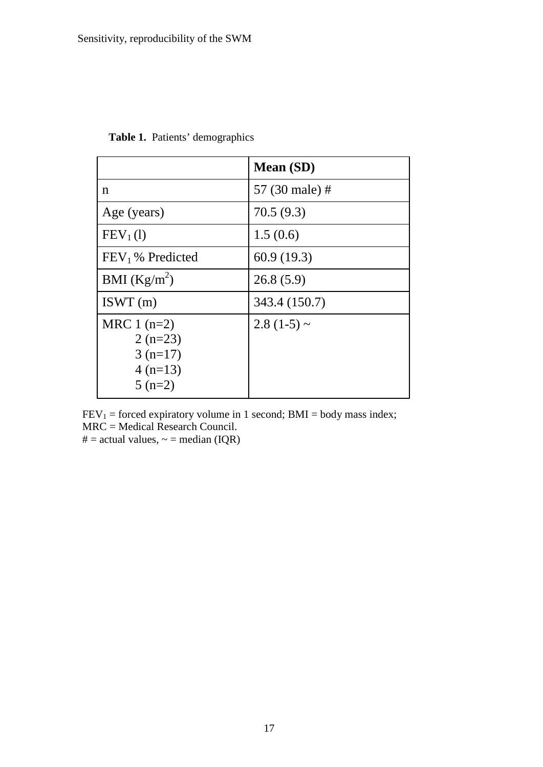|                                                                 | <b>Mean</b> (SD) |
|-----------------------------------------------------------------|------------------|
| n                                                               | 57 (30 male) #   |
| Age (years)                                                     | 70.5(9.3)        |
| FEV <sub>1</sub> (1)                                            | 1.5(0.6)         |
| FEV <sub>1</sub> % Predicted                                    | 60.9(19.3)       |
| BMI $(Kg/m^2)$                                                  | 26.8(5.9)        |
| ISWT(m)                                                         | 343.4 (150.7)    |
| MRC $1(n=2)$<br>$2(n=23)$<br>$3(n=17)$<br>$4(n=13)$<br>$5(n=2)$ | $2.8(1-5)$ ~     |

**Table 1.** Patients' demographics

 $FEV_1 = forced \, \text{expiratory} \, \text{volume in 1 second; } BMI = body \, \text{mass index;}$ MRC = Medical Research Council. # = actual values,  $\sim$  = median (IQR)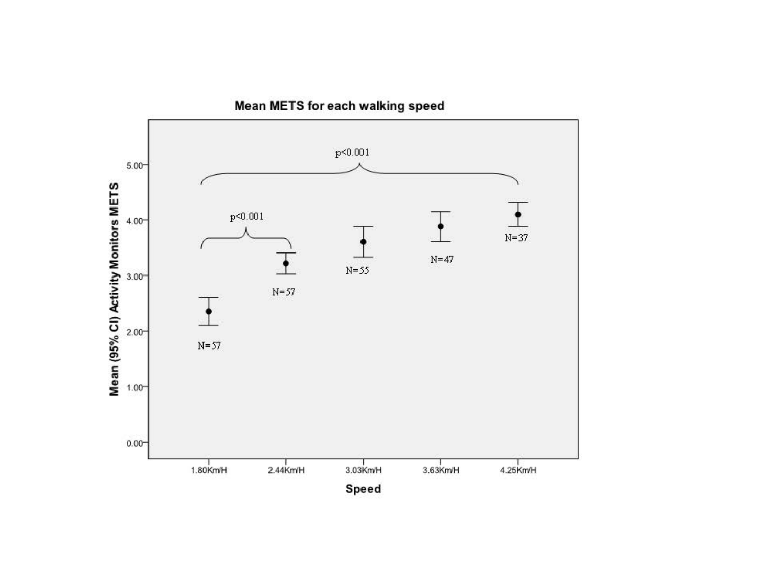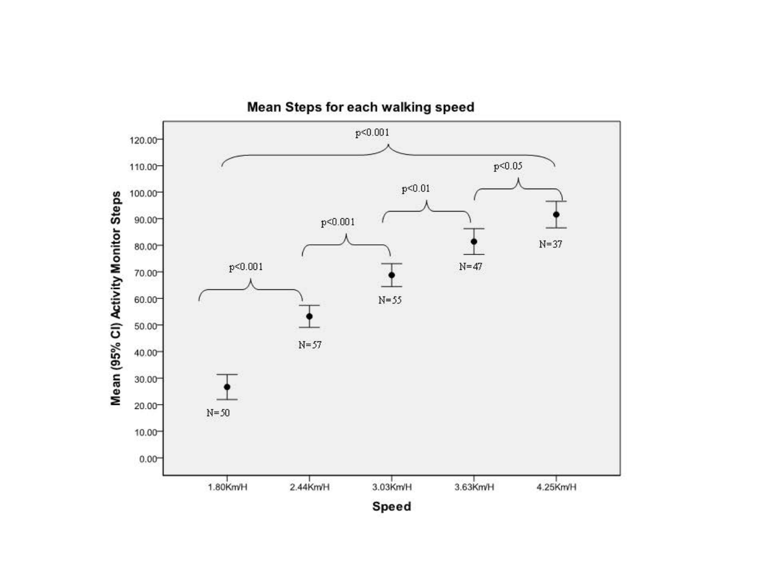